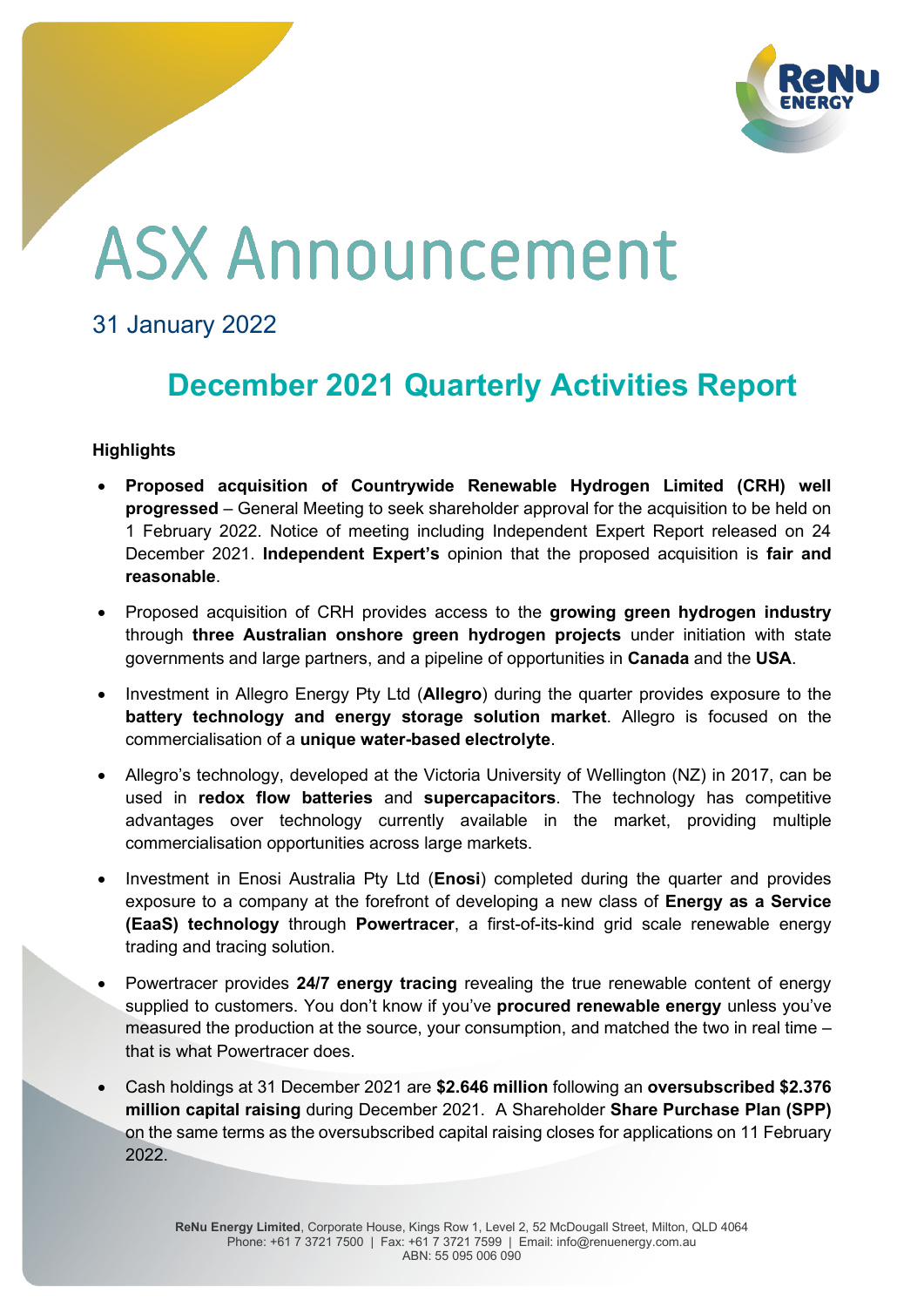

# **ASX Announcement**

### 31 January 2022

## **December 2021 Quarterly Activities Report**

#### **Highlights**

- x **Proposed acquisition of Countrywide Renewable Hydrogen Limited (CRH) well progressed** – General Meeting to seek shareholder approval for the acquisition to be held on 1 February 2022. Notice of meeting including Independent Expert Report released on 24 December 2021. **Independent Expert's** opinion that the proposed acquisition is **fair and reasonable**.
- x Proposed acquisition of CRH provides access to the **growing green hydrogen industry** through **three Australian onshore green hydrogen projects** under initiation with state governments and large partners, and a pipeline of opportunities in **Canada** and the **USA**.
- x Investment in Allegro Energy Pty Ltd (**Allegro**) during the quarter provides exposure to the **battery technology and energy storage solution market**. Allegro is focused on the commercialisation of a **unique water-based electrolyte**.
- Allegro's technology, developed at the Victoria University of Wellington (NZ) in 2017, can be used in **redox flow batteries** and **supercapacitors**. The technology has competitive advantages over technology currently available in the market, providing multiple commercialisation opportunities across large markets.
- x Investment in Enosi Australia Pty Ltd (**Enosi**) completed during the quarter and provides exposure to a company at the forefront of developing a new class of **Energy as a Service (EaaS) technology** through **Powertracer**, a first-of-its-kind grid scale renewable energy trading and tracing solution.
- x Powertracer provides **24/7 energy tracing** revealing the true renewable content of energy supplied to customers. You don't know if you've **procured renewable energy** unless you've measured the production at the source, your consumption, and matched the two in real time  $$ that is what Powertracer does.
- x Cash holdings at 31 December 2021 are **\$2.646 million** following an **oversubscribed \$2.376 million capital raising** during December 2021. A Shareholder **Share Purchase Plan (SPP)** on the same terms as the oversubscribed capital raising closes for applications on 11 February 2022.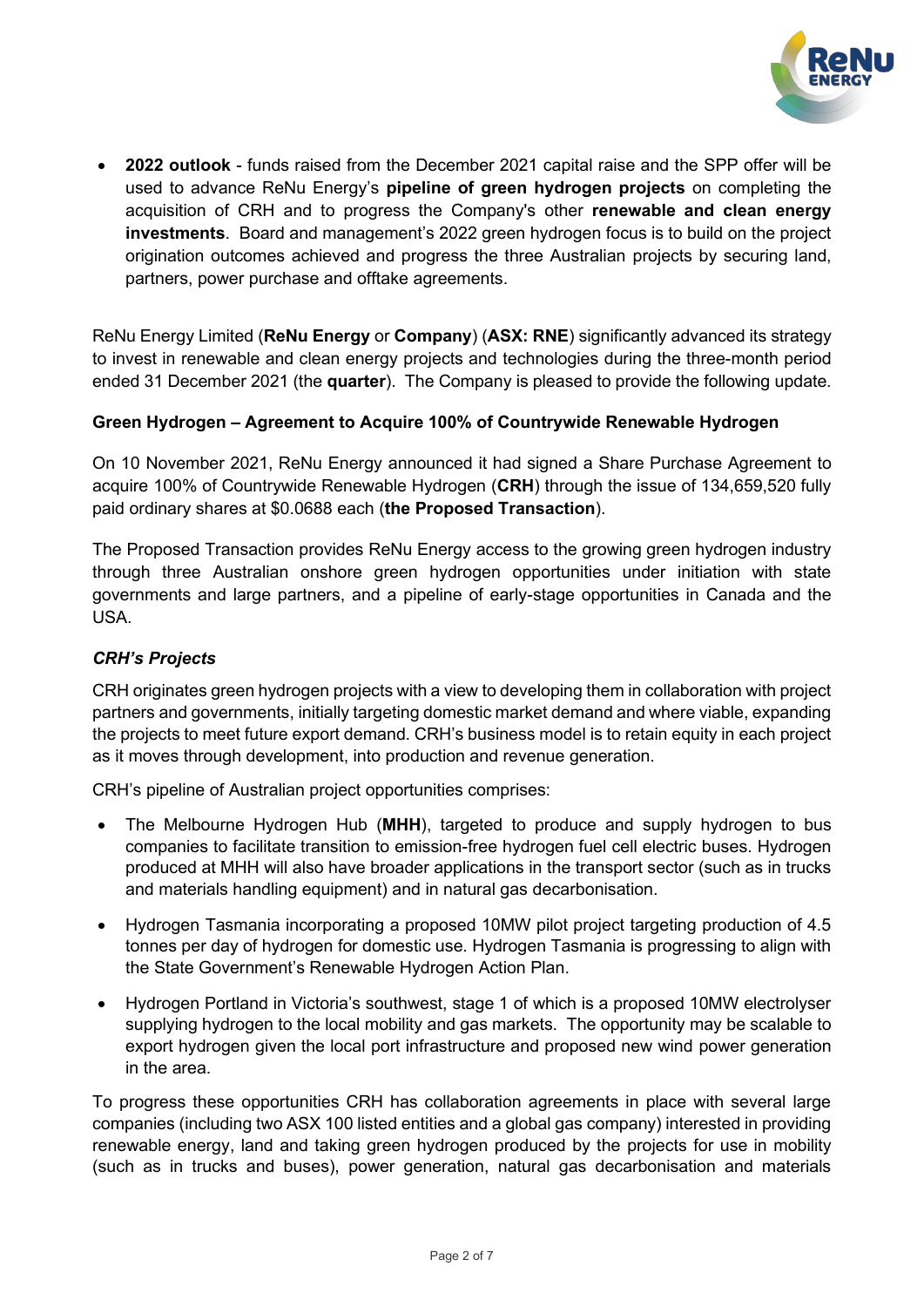

x **2022 outlook** - funds raised from the December 2021 capital raise and the SPP offer will be used to advance ReNu Energy's pipeline of green hydrogen projects on completing the acquisition of CRH and to progress the Company's other **renewable and clean energy investments**. Board and management's 2022 green hydrogen focus is to build on the project origination outcomes achieved and progress the three Australian projects by securing land, partners, power purchase and offtake agreements.

ReNu Energy Limited (**ReNu Energy** or **Company**) (**ASX: RNE**) significantly advanced its strategy to invest in renewable and clean energy projects and technologies during the three-month period ended 31 December 2021 (the **quarter**). The Company is pleased to provide the following update.

#### **Green Hydrogen ± Agreement to Acquire 100% of Countrywide Renewable Hydrogen**

On 10 November 2021, ReNu Energy announced it had signed a Share Purchase Agreement to acquire 100% of Countrywide Renewable Hydrogen (**CRH**) through the issue of 134,659,520 fully paid ordinary shares at \$0.0688 each (**the Proposed Transaction**).

The Proposed Transaction provides ReNu Energy access to the growing green hydrogen industry through three Australian onshore green hydrogen opportunities under initiation with state governments and large partners, and a pipeline of early-stage opportunities in Canada and the USA.

#### **CRH**'s Projects

CRH originates green hydrogen projects with a view to developing them in collaboration with project partners and governments, initially targeting domestic market demand and where viable, expanding the projects to meet future export demand. CRH's business model is to retain equity in each project as it moves through development, into production and revenue generation.

CRH's pipeline of Australian project opportunities comprises:

- x The Melbourne Hydrogen Hub (**MHH**), targeted to produce and supply hydrogen to bus companies to facilitate transition to emission-free hydrogen fuel cell electric buses. Hydrogen produced at MHH will also have broader applications in the transport sector (such as in trucks and materials handling equipment) and in natural gas decarbonisation.
- x Hydrogen Tasmania incorporating a proposed 10MW pilot project targeting production of 4.5 tonnes per day of hydrogen for domestic use. Hydrogen Tasmania is progressing to align with the State Government's Renewable Hydrogen Action Plan.
- Hydrogen Portland in Victoria's southwest, stage 1 of which is a proposed 10MW electrolyser supplying hydrogen to the local mobility and gas markets. The opportunity may be scalable to export hydrogen given the local port infrastructure and proposed new wind power generation in the area.

To progress these opportunities CRH has collaboration agreements in place with several large companies (including two ASX 100 listed entities and a global gas company) interested in providing renewable energy, land and taking green hydrogen produced by the projects for use in mobility (such as in trucks and buses), power generation, natural gas decarbonisation and materials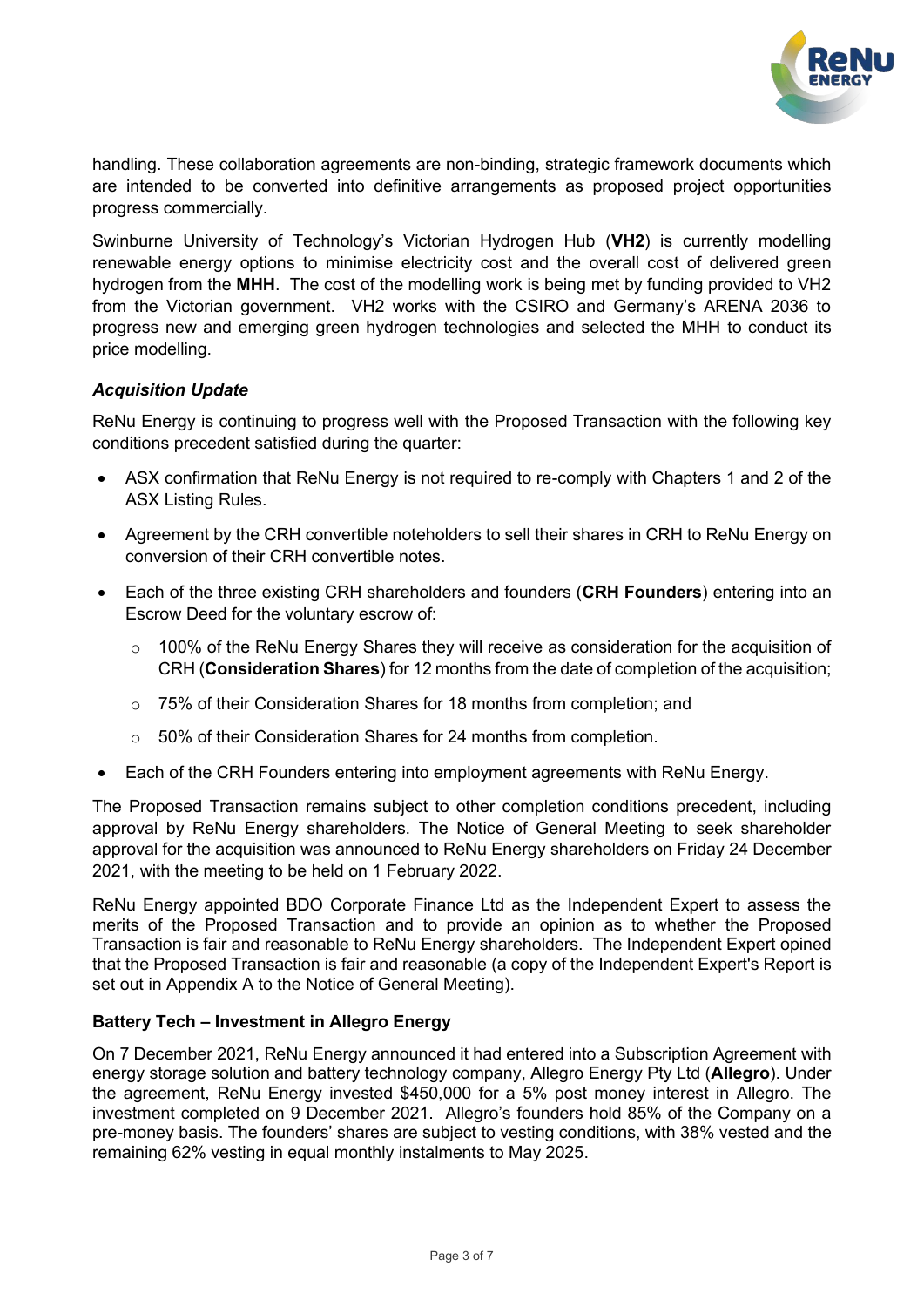

handling. These collaboration agreements are non-binding, strategic framework documents which are intended to be converted into definitive arrangements as proposed project opportunities progress commercially.

Swinburne University of Technology's Victorian Hydrogen Hub (VH2) is currently modelling renewable energy options to minimise electricity cost and the overall cost of delivered green hydrogen from the **MHH**. The cost of the modelling work is being met by funding provided to VH2 from the Victorian government. VH2 works with the CSIRO and Germany's ARENA 2036 to progress new and emerging green hydrogen technologies and selected the MHH to conduct its price modelling.

#### *Acquisition Update*

ReNu Energy is continuing to progress well with the Proposed Transaction with the following key conditions precedent satisfied during the quarter:

- ASX confirmation that ReNu Energy is not required to re-comply with Chapters 1 and 2 of the ASX Listing Rules.
- Agreement by the CRH convertible noteholders to sell their shares in CRH to ReNu Energy on conversion of their CRH convertible notes.
- x Each of the three existing CRH shareholders and founders (**CRH Founders**) entering into an Escrow Deed for the voluntary escrow of:
	- o 100% of the ReNu Energy Shares they will receive as consideration for the acquisition of CRH (**Consideration Shares**) for 12 months from the date of completion of the acquisition;
	- o 75% of their Consideration Shares for 18 months from completion; and
	- o 50% of their Consideration Shares for 24 months from completion.
- Each of the CRH Founders entering into employment agreements with ReNu Energy.

The Proposed Transaction remains subject to other completion conditions precedent, including approval by ReNu Energy shareholders. The Notice of General Meeting to seek shareholder approval for the acquisition was announced to ReNu Energy shareholders on Friday 24 December 2021, with the meeting to be held on 1 February 2022.

ReNu Energy appointed BDO Corporate Finance Ltd as the Independent Expert to assess the merits of the Proposed Transaction and to provide an opinion as to whether the Proposed Transaction is fair and reasonable to ReNu Energy shareholders. The Independent Expert opined that the Proposed Transaction is fair and reasonable (a copy of the Independent Expert's Report is set out in Appendix A to the Notice of General Meeting).

#### **Battery Tech - Investment in Allegro Energy**

On 7 December 2021, ReNu Energy announced it had entered into a Subscription Agreement with energy storage solution and battery technology company, Allegro Energy Pty Ltd (**Allegro**). Under the agreement, ReNu Energy invested \$450,000 for a 5% post money interest in Allegro. The investment completed on 9 December 2021. Allegro's founders hold 85% of the Company on a pre-money basis. The founders' shares are subject to vesting conditions, with 38% vested and the remaining 62% vesting in equal monthly instalments to May 2025.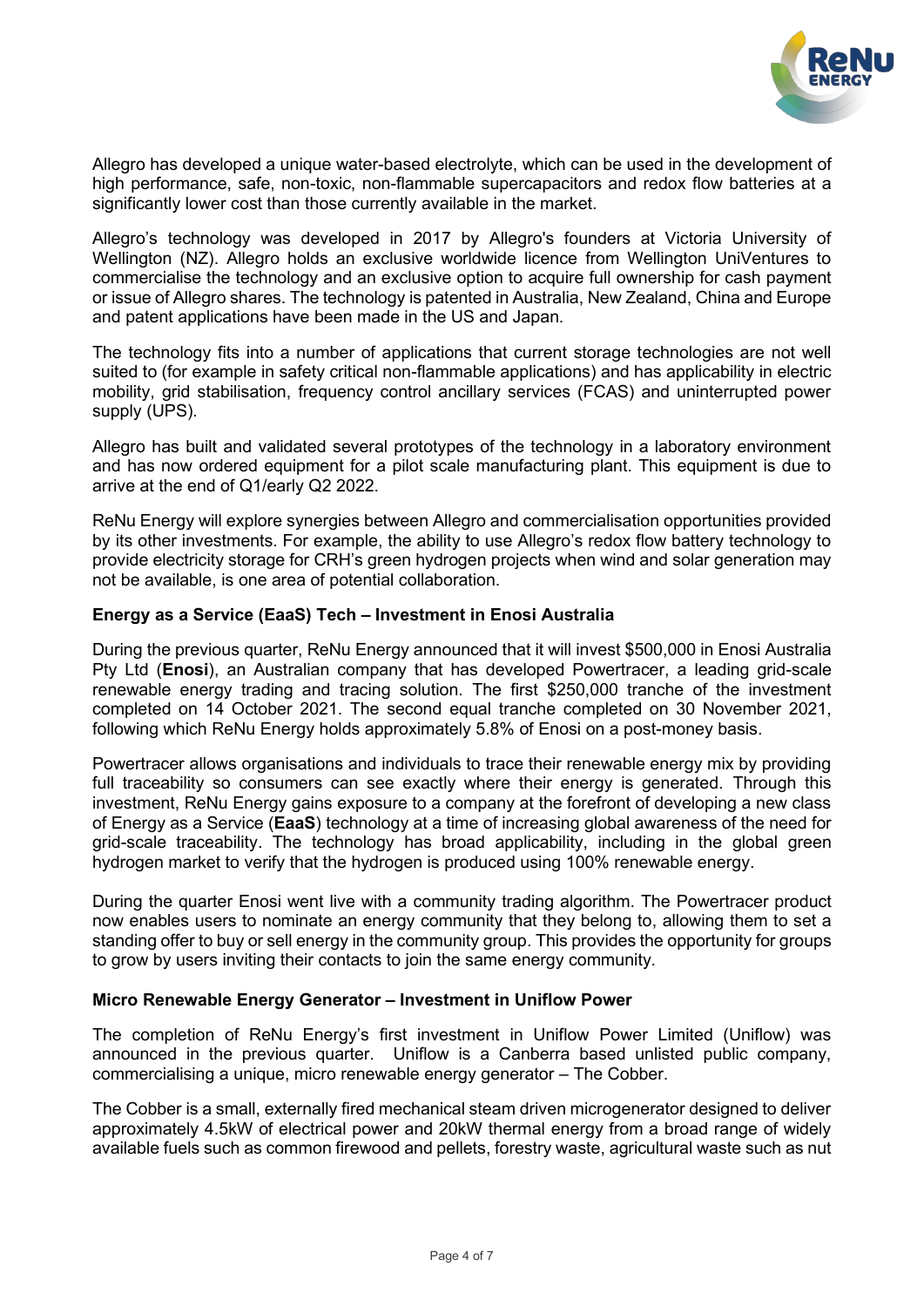

Allegro has developed a unique water-based electrolyte, which can be used in the development of high performance, safe, non-toxic, non-flammable supercapacitors and redox flow batteries at a significantly lower cost than those currently available in the market.

Allegro's technology was developed in 2017 by Allegro's founders at Victoria University of Wellington (NZ). Allegro holds an exclusive worldwide licence from Wellington UniVentures to commercialise the technology and an exclusive option to acquire full ownership for cash payment or issue of Allegro shares. The technology is patented in Australia, New Zealand, China and Europe and patent applications have been made in the US and Japan.

The technology fits into a number of applications that current storage technologies are not well suited to (for example in safety critical non-flammable applications) and has applicability in electric mobility, grid stabilisation, frequency control ancillary services (FCAS) and uninterrupted power supply (UPS).

Allegro has built and validated several prototypes of the technology in a laboratory environment and has now ordered equipment for a pilot scale manufacturing plant. This equipment is due to arrive at the end of Q1/early Q2 2022.

ReNu Energy will explore synergies between Allegro and commercialisation opportunities provided by its other investments. For example, the ability to use Allegro's redox flow battery technology to provide electricity storage for CRH's green hydrogen projects when wind and solar generation may not be available, is one area of potential collaboration.

#### **Energy as a Service (EaaS) Tech ± Investment in Enosi Australia**

During the previous quarter, ReNu Energy announced that it will invest \$500,000 in Enosi Australia Pty Ltd (**Enosi**), an Australian company that has developed Powertracer, a leading grid-scale renewable energy trading and tracing solution. The first \$250,000 tranche of the investment completed on 14 October 2021. The second equal tranche completed on 30 November 2021, following which ReNu Energy holds approximately 5.8% of Enosi on a post-money basis.

Powertracer allows organisations and individuals to trace their renewable energy mix by providing full traceability so consumers can see exactly where their energy is generated. Through this investment, ReNu Energy gains exposure to a company at the forefront of developing a new class of Energy as a Service (**EaaS**) technology at a time of increasing global awareness of the need for grid-scale traceability. The technology has broad applicability, including in the global green hydrogen market to verify that the hydrogen is produced using 100% renewable energy.

During the quarter Enosi went live with a community trading algorithm. The Powertracer product now enables users to nominate an energy community that they belong to, allowing them to set a standing offer to buy or sell energy in the community group. This provides the opportunity for groups to grow by users inviting their contacts to join the same energy community.

#### **Micro Renewable Energy Generator ± Investment in Uniflow Power**

The completion of ReNu Energy's first investment in Uniflow Power Limited (Uniflow) was announced in the previous quarter. Uniflow is a Canberra based unlisted public company, commercialising a unique, micro renewable energy generator - The Cobber.

The Cobber is a small, externally fired mechanical steam driven microgenerator designed to deliver approximately 4.5kW of electrical power and 20kW thermal energy from a broad range of widely available fuels such as common firewood and pellets, forestry waste, agricultural waste such as nut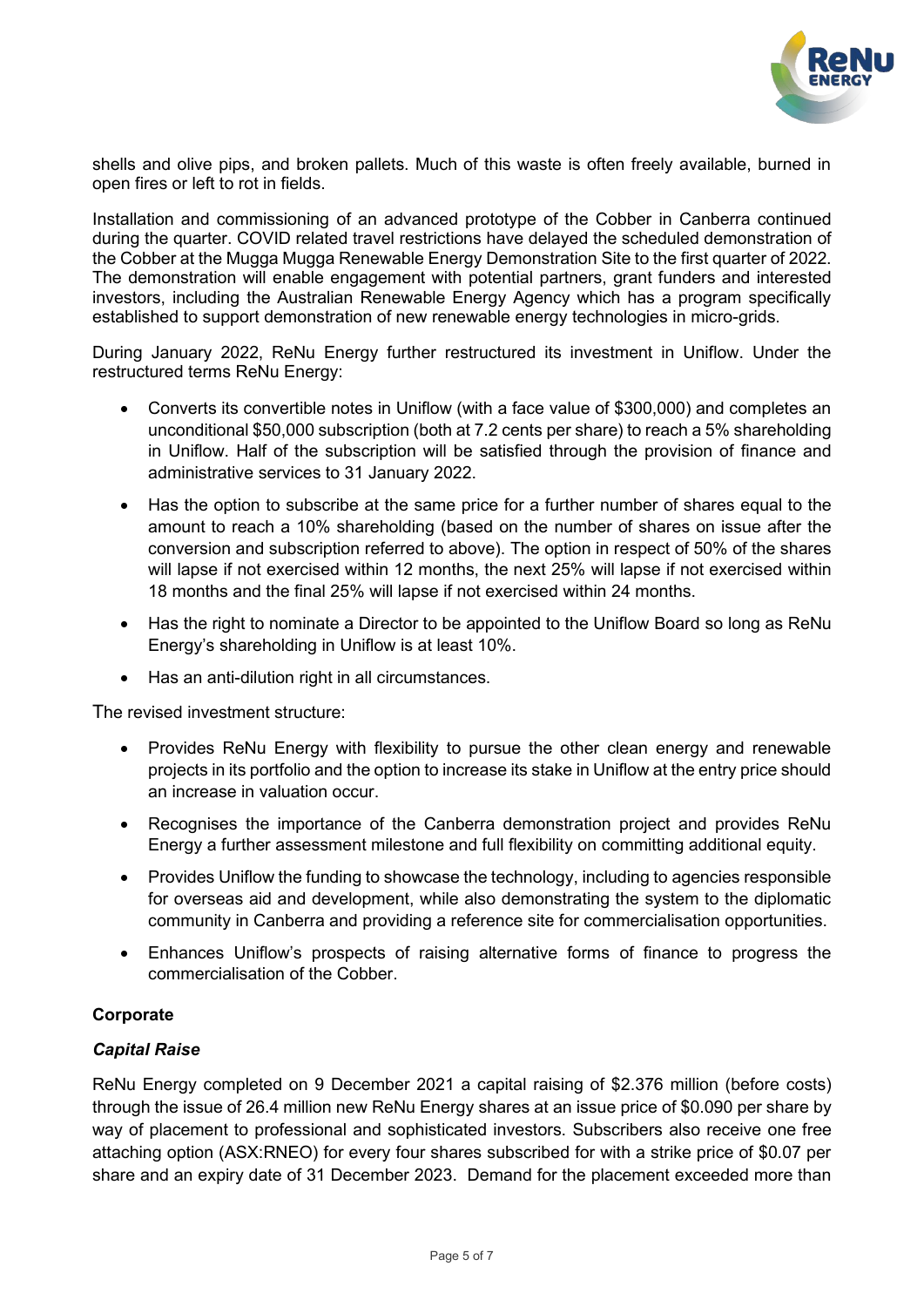

shells and olive pips, and broken pallets. Much of this waste is often freely available, burned in open fires or left to rot in fields.

Installation and commissioning of an advanced prototype of the Cobber in Canberra continued during the quarter. COVID related travel restrictions have delayed the scheduled demonstration of the Cobber at the Mugga Mugga Renewable Energy Demonstration Site to the first quarter of 2022. The demonstration will enable engagement with potential partners, grant funders and interested investors, including the Australian Renewable Energy Agency which has a program specifically established to support demonstration of new renewable energy technologies in micro-grids.

During January 2022, ReNu Energy further restructured its investment in Uniflow. Under the restructured terms ReNu Energy:

- Converts its convertible notes in Uniflow (with a face value of \$300,000) and completes an unconditional \$50,000 subscription (both at 7.2 cents per share) to reach a 5% shareholding in Uniflow. Half of the subscription will be satisfied through the provision of finance and administrative services to 31 January 2022.
- Has the option to subscribe at the same price for a further number of shares equal to the amount to reach a 10% shareholding (based on the number of shares on issue after the conversion and subscription referred to above). The option in respect of 50% of the shares will lapse if not exercised within 12 months, the next 25% will lapse if not exercised within 18 months and the final 25% will lapse if not exercised within 24 months.
- Has the right to nominate a Director to be appointed to the Uniflow Board so long as ReNu Energy's shareholding in Uniflow is at least 10%.
- Has an anti-dilution right in all circumstances.

The revised investment structure:

- Provides ReNu Energy with flexibility to pursue the other clean energy and renewable projects in its portfolio and the option to increase its stake in Uniflow at the entry price should an increase in valuation occur.
- Recognises the importance of the Canberra demonstration project and provides ReNu Energy a further assessment milestone and full flexibility on committing additional equity.
- Provides Uniflow the funding to showcase the technology, including to agencies responsible for overseas aid and development, while also demonstrating the system to the diplomatic community in Canberra and providing a reference site for commercialisation opportunities.
- Enhances Uniflow's prospects of raising alternative forms of finance to progress the commercialisation of the Cobber.

#### **Corporate**

#### *Capital Raise*

ReNu Energy completed on 9 December 2021 a capital raising of \$2.376 million (before costs) through the issue of 26.4 million new ReNu Energy shares at an issue price of \$0.090 per share by way of placement to professional and sophisticated investors. Subscribers also receive one free attaching option (ASX:RNEO) for every four shares subscribed for with a strike price of \$0.07 per share and an expiry date of 31 December 2023. Demand for the placement exceeded more than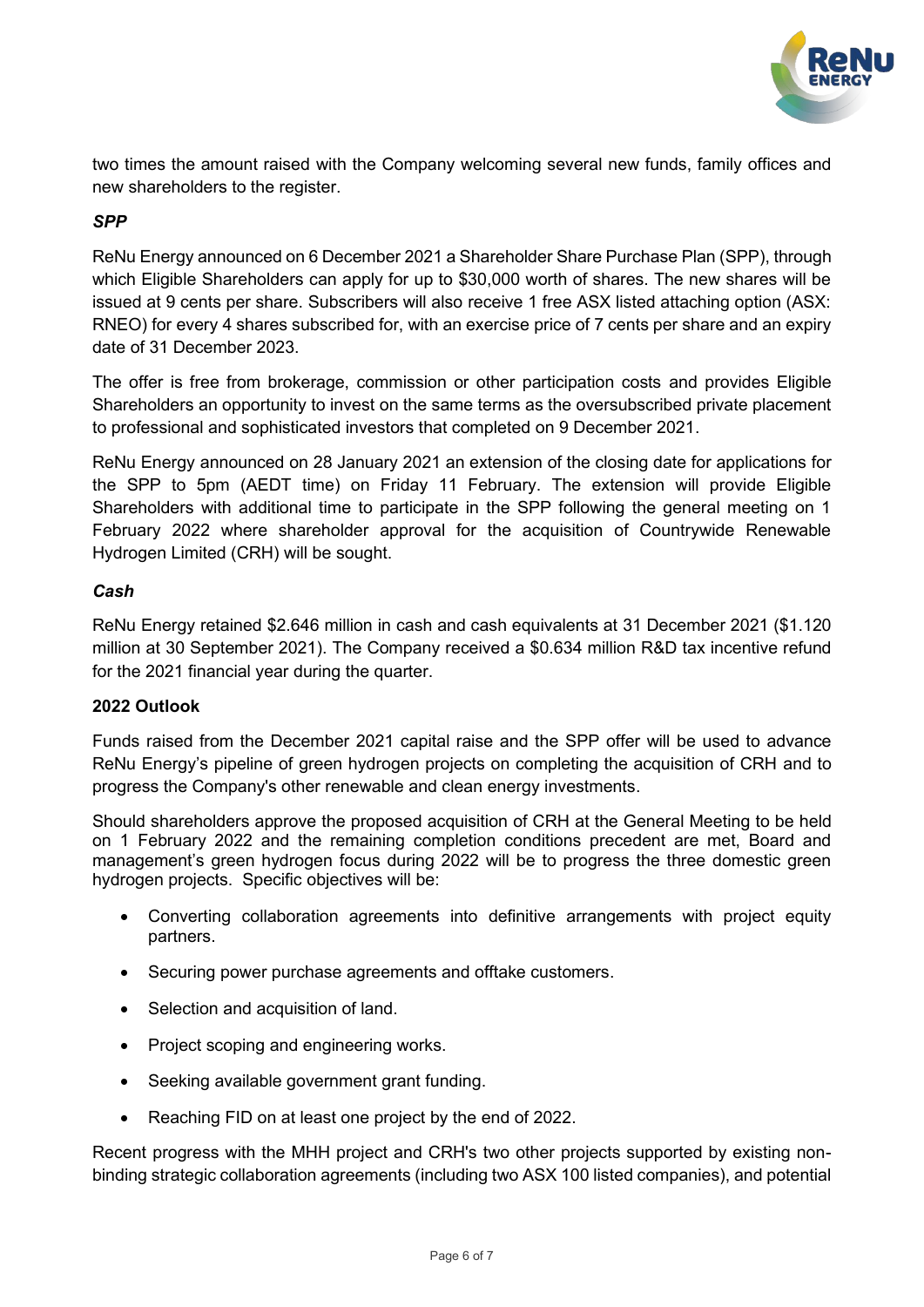

two times the amount raised with the Company welcoming several new funds, family offices and new shareholders to the register.

#### *SPP*

ReNu Energy announced on 6 December 2021 a Shareholder Share Purchase Plan (SPP), through which Eligible Shareholders can apply for up to \$30,000 worth of shares. The new shares will be issued at 9 cents per share. Subscribers will also receive 1 free ASX listed attaching option (ASX: RNEO) for every 4 shares subscribed for, with an exercise price of 7 cents per share and an expiry date of 31 December 2023.

The offer is free from brokerage, commission or other participation costs and provides Eligible Shareholders an opportunity to invest on the same terms as the oversubscribed private placement to professional and sophisticated investors that completed on 9 December 2021.

ReNu Energy announced on 28 January 2021 an extension of the closing date for applications for the SPP to 5pm (AEDT time) on Friday 11 February. The extension will provide Eligible Shareholders with additional time to participate in the SPP following the general meeting on 1 February 2022 where shareholder approval for the acquisition of Countrywide Renewable Hydrogen Limited (CRH) will be sought.

#### *Cash*

ReNu Energy retained \$2.646 million in cash and cash equivalents at 31 December 2021 (\$1.120 million at 30 September 2021). The Company received a \$0.634 million R&D tax incentive refund for the 2021 financial year during the quarter.

#### **2022 Outlook**

Funds raised from the December 2021 capital raise and the SPP offer will be used to advance ReNu Energy's pipeline of green hydrogen projects on completing the acquisition of CRH and to progress the Company's other renewable and clean energy investments.

Should shareholders approve the proposed acquisition of CRH at the General Meeting to be held on 1 February 2022 and the remaining completion conditions precedent are met, Board and management's green hydrogen focus during 2022 will be to progress the three domestic green hydrogen projects. Specific objectives will be:

- Converting collaboration agreements into definitive arrangements with project equity partners.
- Securing power purchase agreements and offtake customers.
- Selection and acquisition of land.
- Project scoping and engineering works.
- Seeking available government grant funding.
- Reaching FID on at least one project by the end of 2022.

Recent progress with the MHH project and CRH's two other projects supported by existing nonbinding strategic collaboration agreements (including two ASX 100 listed companies), and potential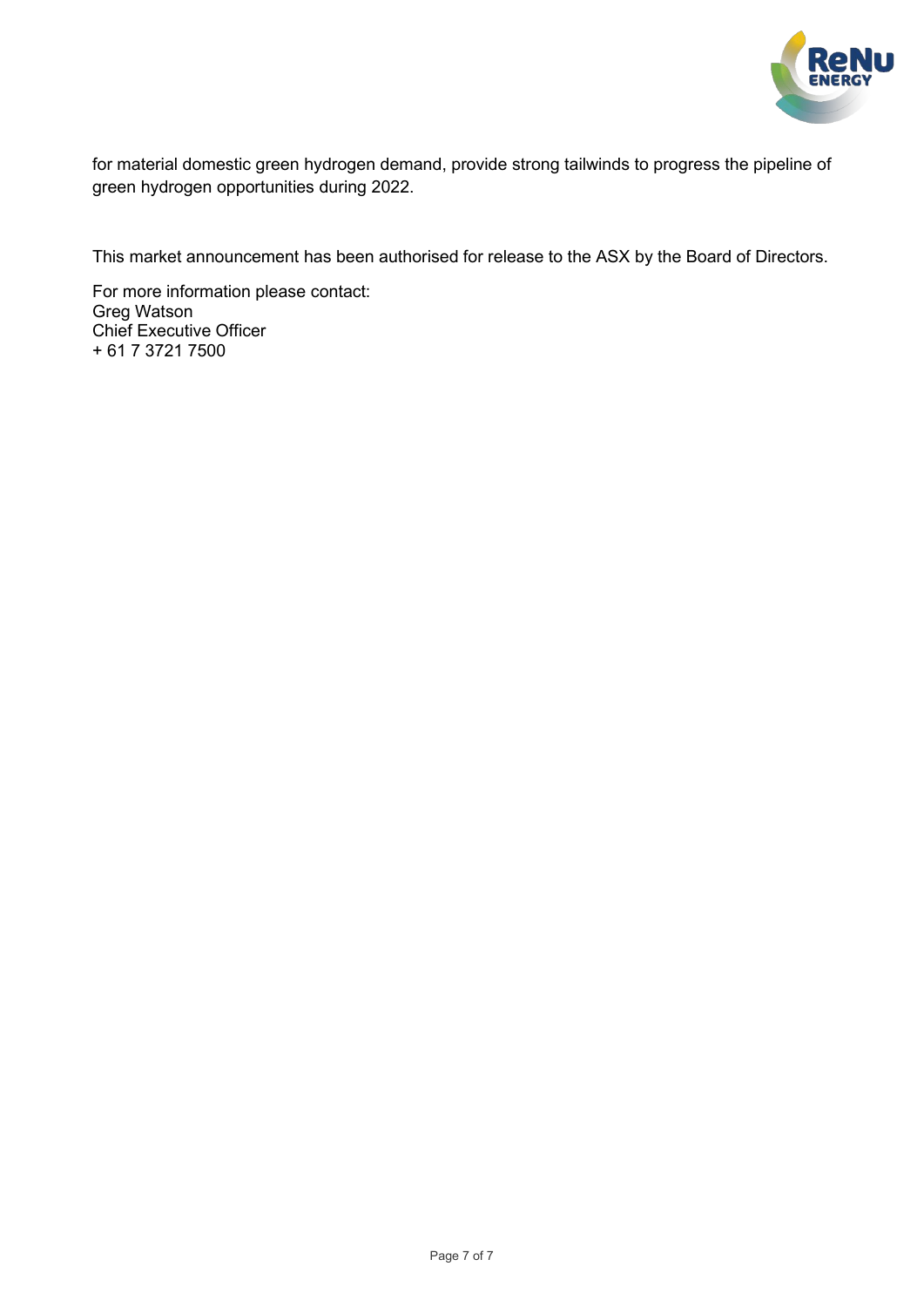

for material domestic green hydrogen demand, provide strong tailwinds to progress the pipeline of green hydrogen opportunities during 2022.

This market announcement has been authorised for release to the ASX by the Board of Directors.

For more information please contact: Greg Watson Chief Executive Officer + 61 7 3721 7500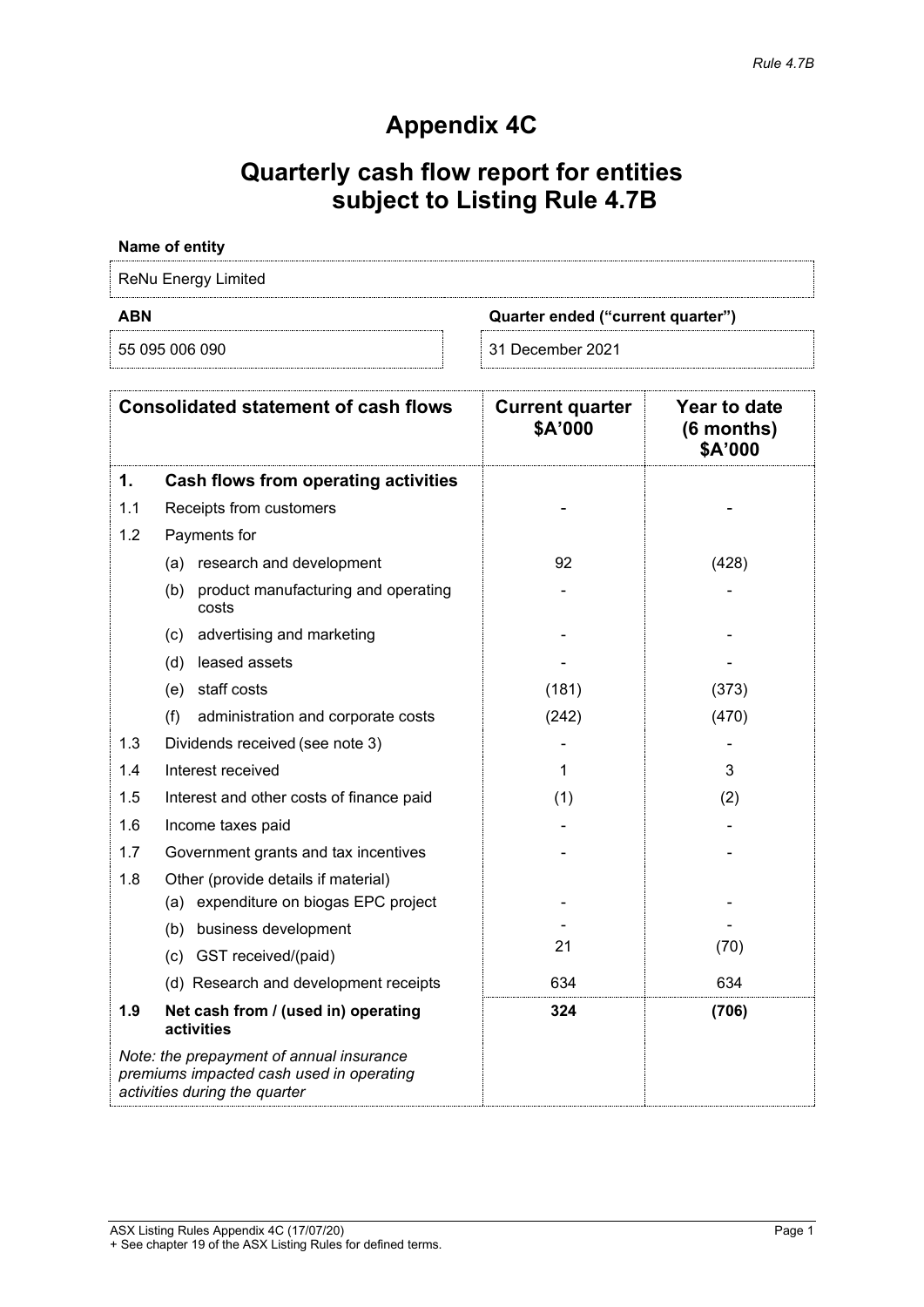## **Appendix 4C**

## **Quarterly cash flow report for entities subject to Listing Rule 4.7B**

| Name of entity      |                                   |  |
|---------------------|-----------------------------------|--|
| ReNu Energy Limited |                                   |  |
|                     |                                   |  |
| <b>ABN</b>          | Quarter ended ("current quarter") |  |

| <b>Consolidated statement of cash flows</b> |                                                                                                                       | <b>Current quarter</b><br>\$A'000 | Year to date<br>(6 months)<br>\$A'000 |
|---------------------------------------------|-----------------------------------------------------------------------------------------------------------------------|-----------------------------------|---------------------------------------|
| 1.                                          | Cash flows from operating activities                                                                                  |                                   |                                       |
| 1.1                                         | Receipts from customers                                                                                               |                                   |                                       |
| 1.2                                         | Payments for                                                                                                          |                                   |                                       |
|                                             | (a) research and development                                                                                          | 92                                | (428)                                 |
|                                             | product manufacturing and operating<br>(b)<br>costs                                                                   |                                   |                                       |
|                                             | (c) advertising and marketing                                                                                         |                                   |                                       |
|                                             | (d) leased assets                                                                                                     |                                   |                                       |
|                                             | (e) staff costs                                                                                                       | (181)                             | (373)                                 |
|                                             | (f)<br>administration and corporate costs                                                                             | (242)                             | (470)                                 |
| 1.3                                         | Dividends received (see note 3)                                                                                       |                                   |                                       |
| 1.4                                         | Interest received                                                                                                     | 1                                 | 3                                     |
| 1.5                                         | Interest and other costs of finance paid                                                                              | (1)                               | (2)                                   |
| 1.6                                         | Income taxes paid                                                                                                     |                                   |                                       |
| 1.7                                         | Government grants and tax incentives                                                                                  |                                   |                                       |
| 1.8                                         | Other (provide details if material)<br>(a) expenditure on biogas EPC project                                          |                                   |                                       |
|                                             | (b) business development                                                                                              |                                   |                                       |
|                                             | (c) GST received/(paid)                                                                                               | 21                                | (70)                                  |
|                                             | (d) Research and development receipts                                                                                 | 634                               | 634                                   |
| 1.9                                         | Net cash from / (used in) operating<br>activities                                                                     | 324                               | (706)                                 |
|                                             | Note: the prepayment of annual insurance<br>premiums impacted cash used in operating<br>activities during the quarter |                                   |                                       |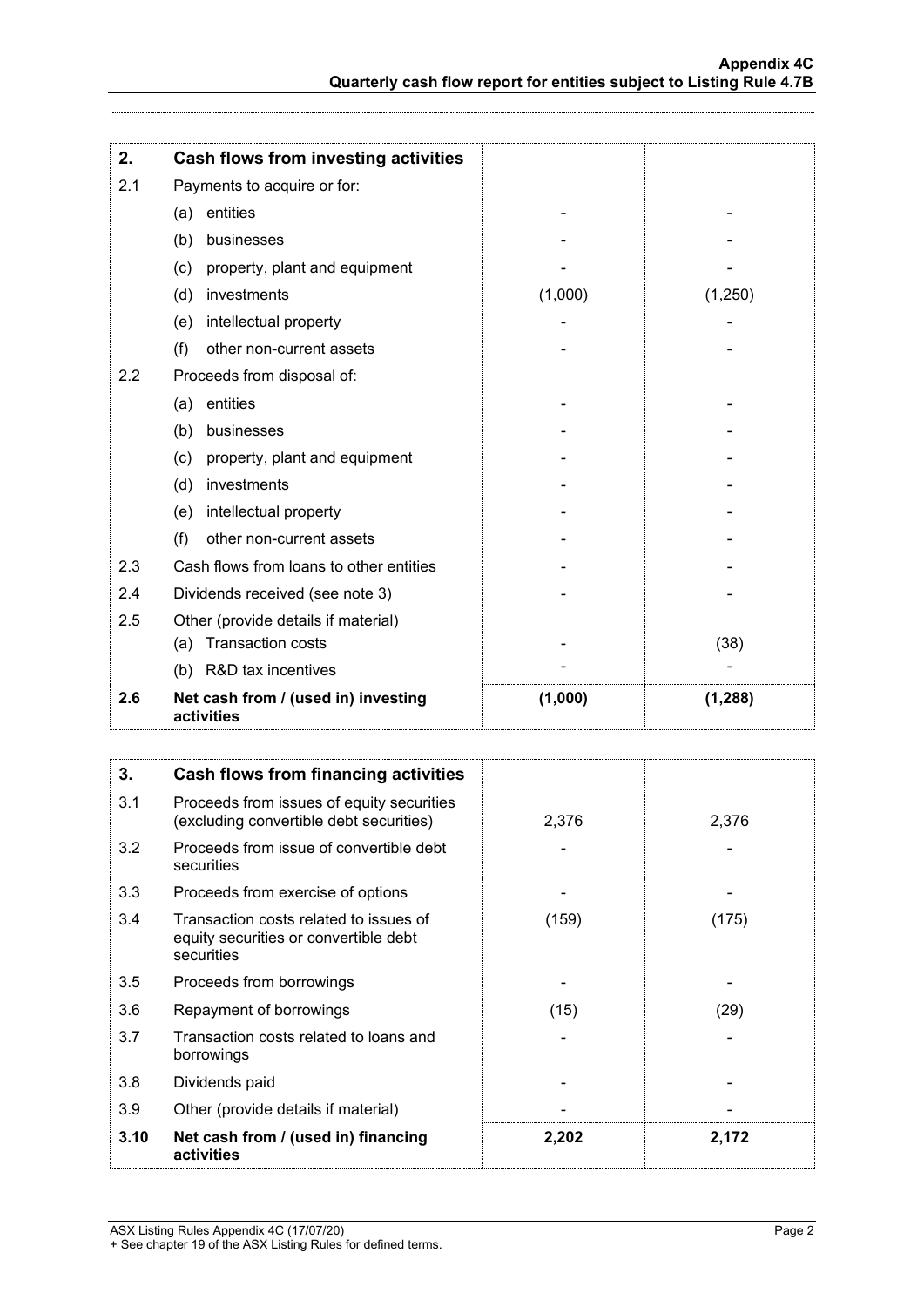| 2.  | Cash flows from investing activities              |         |          |
|-----|---------------------------------------------------|---------|----------|
| 2.1 | Payments to acquire or for:                       |         |          |
|     | entities<br>(a)                                   |         |          |
|     | businesses<br>(b)                                 |         |          |
|     | property, plant and equipment<br>(c)              |         |          |
|     | investments<br>(d)                                | (1,000) | (1,250)  |
|     | intellectual property<br>(e)                      |         |          |
|     | (f)<br>other non-current assets                   |         |          |
| 2.2 | Proceeds from disposal of:                        |         |          |
|     | entities<br>(a)                                   |         |          |
|     | (b)<br>businesses                                 |         |          |
|     | property, plant and equipment<br>(c)              |         |          |
|     | investments<br>(d)                                |         |          |
|     | intellectual property<br>(e)                      |         |          |
|     | other non-current assets<br>(f)                   |         |          |
| 2.3 | Cash flows from loans to other entities           |         |          |
| 2.4 | Dividends received (see note 3)                   |         |          |
| 2.5 | Other (provide details if material)               |         |          |
|     | <b>Transaction costs</b><br>(a)                   |         | (38)     |
|     | (b) R&D tax incentives                            |         |          |
| 2.6 | Net cash from / (used in) investing<br>activities | (1,000) | (1, 288) |

| 3.   | Cash flows from financing activities                                                          |       |       |
|------|-----------------------------------------------------------------------------------------------|-------|-------|
| 3.1  | Proceeds from issues of equity securities<br>(excluding convertible debt securities)          | 2,376 | 2,376 |
| 3.2  | Proceeds from issue of convertible debt<br>securities                                         |       |       |
| 3.3  | Proceeds from exercise of options                                                             |       |       |
| 3.4  | Transaction costs related to issues of<br>equity securities or convertible debt<br>securities | (159) | (175) |
| 3.5  | Proceeds from borrowings                                                                      |       |       |
| 3.6  | Repayment of borrowings                                                                       | (15)  | (29)  |
| 3.7  | Transaction costs related to loans and<br>borrowings                                          |       |       |
| 3.8  | Dividends paid                                                                                |       |       |
| 3.9  | Other (provide details if material)                                                           |       |       |
| 3.10 | Net cash from / (used in) financing<br>activities                                             | 2,202 | 2,172 |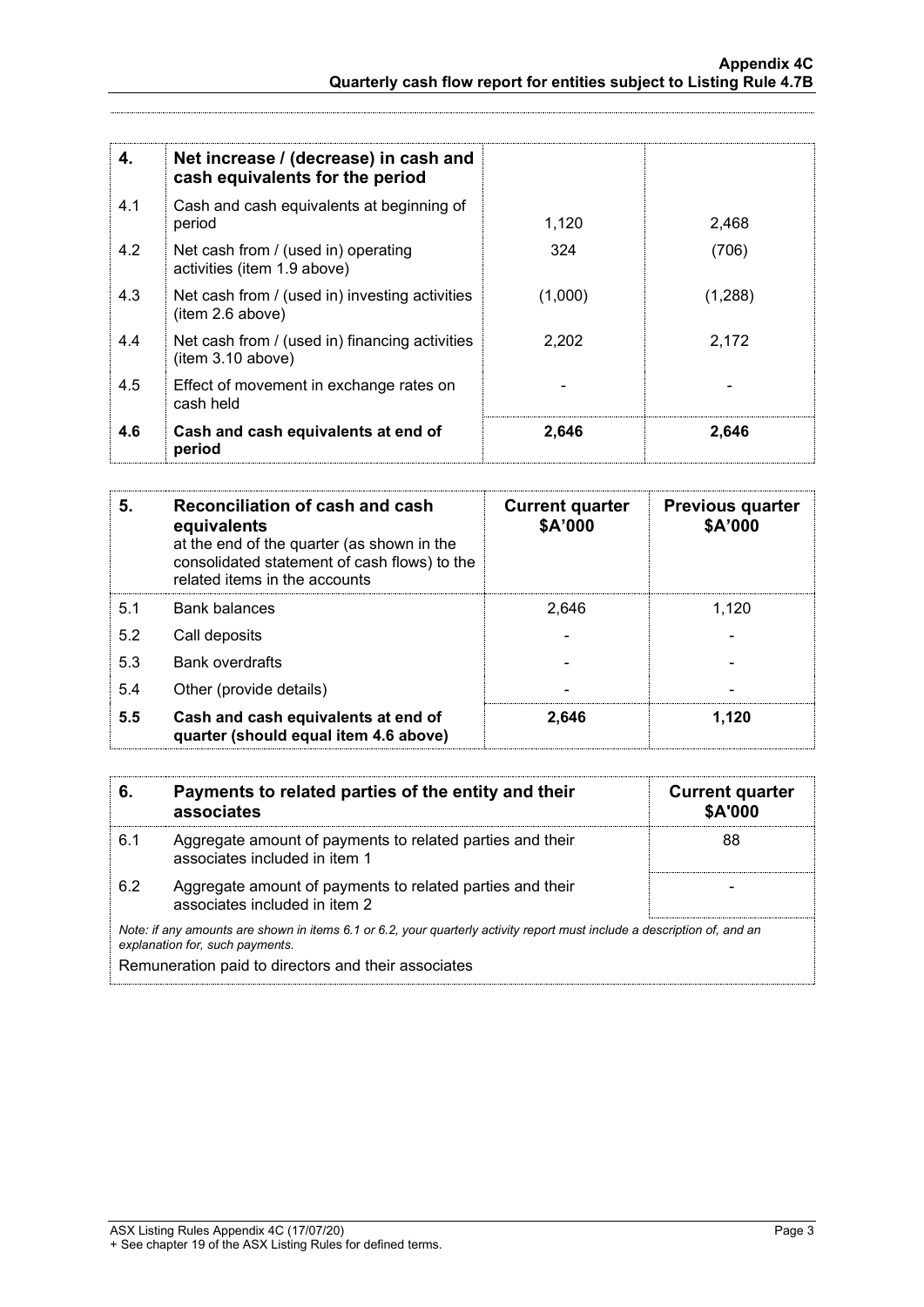| 4.  | Net increase / (decrease) in cash and<br>cash equivalents for the period |         |         |
|-----|--------------------------------------------------------------------------|---------|---------|
| 4.1 | Cash and cash equivalents at beginning of<br>period                      | 1,120   | 2.468   |
| 4.2 | Net cash from / (used in) operating<br>activities (item 1.9 above)       | 324     | (706)   |
| 4.3 | Net cash from / (used in) investing activities<br>(item 2.6 above)       | (1,000) | (1,288) |
| 4.4 | Net cash from / (used in) financing activities<br>item 3.10 above)       | 2,202   | 2.172   |
| 4.5 | Effect of movement in exchange rates on<br>cash held                     |         |         |
| 4.6 | Cash and cash equivalents at end of<br>period                            | 2,646   | 2,646   |

| Reconciliation of cash and cash<br>5.<br>equivalents<br>at the end of the quarter (as shown in the<br>consolidated statement of cash flows) to the<br>related items in the accounts |                                                                              | <b>Current quarter</b><br>\$A'000 | <b>Previous quarter</b><br>\$A'000 |
|-------------------------------------------------------------------------------------------------------------------------------------------------------------------------------------|------------------------------------------------------------------------------|-----------------------------------|------------------------------------|
| 5.1                                                                                                                                                                                 | <b>Bank balances</b>                                                         | 2.646                             | 1.120                              |
| 5.2                                                                                                                                                                                 | Call deposits                                                                |                                   |                                    |
| 5.3                                                                                                                                                                                 | <b>Bank overdrafts</b>                                                       |                                   |                                    |
| 5.4                                                                                                                                                                                 | Other (provide details)                                                      |                                   |                                    |
| 5.5                                                                                                                                                                                 | Cash and cash equivalents at end of<br>quarter (should equal item 4.6 above) | 2,646                             | 1,120                              |

| 6.                                                                                                                                                          | Payments to related parties of the entity and their<br>associates                          | <b>Current quarter</b><br>\$A'000 |
|-------------------------------------------------------------------------------------------------------------------------------------------------------------|--------------------------------------------------------------------------------------------|-----------------------------------|
| 6.1                                                                                                                                                         | Aggregate amount of payments to related parties and their<br>associates included in item 1 | 88                                |
| 6.2                                                                                                                                                         | Aggregate amount of payments to related parties and their<br>associates included in item 2 |                                   |
| Note: if any amounts are shown in items 6.1 or 6.2, your quarterly activity report must include a description of, and an<br>explanation for, such payments. |                                                                                            |                                   |
| Remuneration paid to directors and their associates                                                                                                         |                                                                                            |                                   |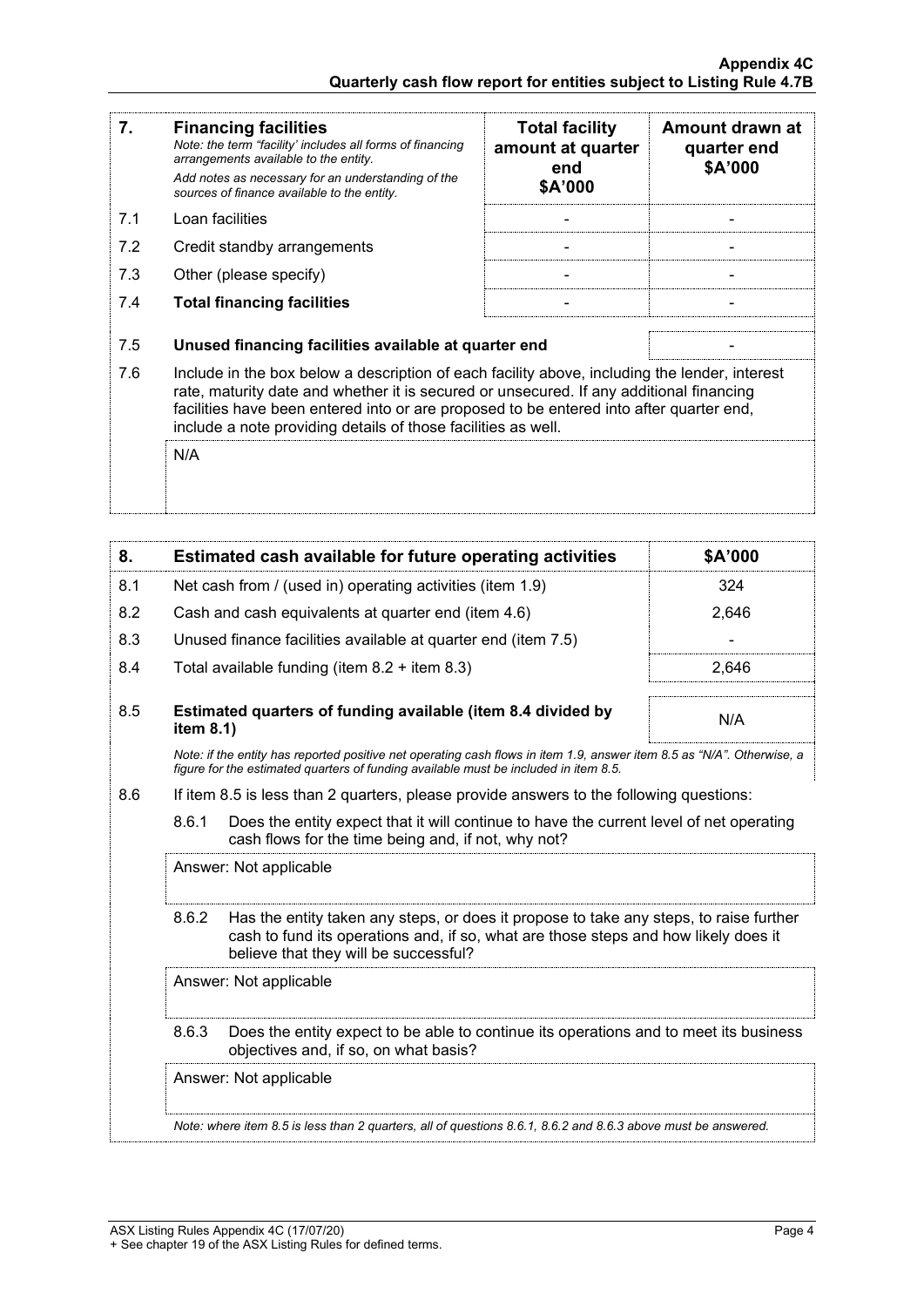| 7.  | <b>Financing facilities</b><br>Note: the term "facility' includes all forms of financing<br>arrangements available to the entity.<br>Add notes as necessary for an understanding of the<br>sources of finance available to the entity.                                                                                                               | <b>Total facility</b><br>amount at quarter<br>end<br>\$A'000 | Amount drawn at<br>quarter end<br>\$A'000 |
|-----|------------------------------------------------------------------------------------------------------------------------------------------------------------------------------------------------------------------------------------------------------------------------------------------------------------------------------------------------------|--------------------------------------------------------------|-------------------------------------------|
| 7.1 | Loan facilities                                                                                                                                                                                                                                                                                                                                      |                                                              |                                           |
| 7.2 | Credit standby arrangements                                                                                                                                                                                                                                                                                                                          |                                                              |                                           |
| 7.3 | Other (please specify)                                                                                                                                                                                                                                                                                                                               |                                                              |                                           |
| 7.4 | <b>Total financing facilities</b>                                                                                                                                                                                                                                                                                                                    |                                                              |                                           |
| 7.5 |                                                                                                                                                                                                                                                                                                                                                      |                                                              |                                           |
|     | Unused financing facilities available at quarter end                                                                                                                                                                                                                                                                                                 |                                                              |                                           |
| 7.6 | Include in the box below a description of each facility above, including the lender, interest<br>rate, maturity date and whether it is secured or unsecured. If any additional financing<br>facilities have been entered into or are proposed to be entered into after quarter end,<br>include a note providing details of those facilities as well. |                                                              |                                           |
|     | N/A                                                                                                                                                                                                                                                                                                                                                  |                                                              |                                           |

| 8.  |                                                                                                                                         | Estimated cash available for future operating activities                                                                                                                                                               | \$A'000 |
|-----|-----------------------------------------------------------------------------------------------------------------------------------------|------------------------------------------------------------------------------------------------------------------------------------------------------------------------------------------------------------------------|---------|
| 8.1 |                                                                                                                                         | Net cash from / (used in) operating activities (item 1.9)                                                                                                                                                              | 324     |
| 8.2 |                                                                                                                                         | Cash and cash equivalents at quarter end (item 4.6)                                                                                                                                                                    | 2,646   |
| 8.3 |                                                                                                                                         | Unused finance facilities available at quarter end (item 7.5)                                                                                                                                                          |         |
| 8.4 |                                                                                                                                         | Total available funding (item $8.2 +$ item $8.3$ )                                                                                                                                                                     | 2.646   |
| 8.5 | item 8.1)                                                                                                                               | Estimated quarters of funding available (item 8.4 divided by                                                                                                                                                           | N/A     |
|     |                                                                                                                                         | Note: if the entity has reported positive net operating cash flows in item 1.9, answer item 8.5 as "N/A". Otherwise, a<br>figure for the estimated quarters of funding available must be included in item 8.5.         |         |
| 8.6 |                                                                                                                                         | If item 8.5 is less than 2 quarters, please provide answers to the following questions:                                                                                                                                |         |
|     | 8.6.1                                                                                                                                   | Does the entity expect that it will continue to have the current level of net operating<br>cash flows for the time being and, if not, why not?                                                                         |         |
|     | Answer: Not applicable                                                                                                                  |                                                                                                                                                                                                                        |         |
|     | 8.6.2                                                                                                                                   | Has the entity taken any steps, or does it propose to take any steps, to raise further<br>cash to fund its operations and, if so, what are those steps and how likely does it<br>believe that they will be successful? |         |
|     |                                                                                                                                         | Answer: Not applicable                                                                                                                                                                                                 |         |
|     | 8.6.3<br>Does the entity expect to be able to continue its operations and to meet its business<br>objectives and, if so, on what basis? |                                                                                                                                                                                                                        |         |
|     |                                                                                                                                         | Answer: Not applicable                                                                                                                                                                                                 |         |
|     |                                                                                                                                         | Note: where item 8.5 is less than 2 quarters, all of questions 8.6.1, 8.6.2 and 8.6.3 above must be answered.                                                                                                          |         |
|     |                                                                                                                                         |                                                                                                                                                                                                                        |         |